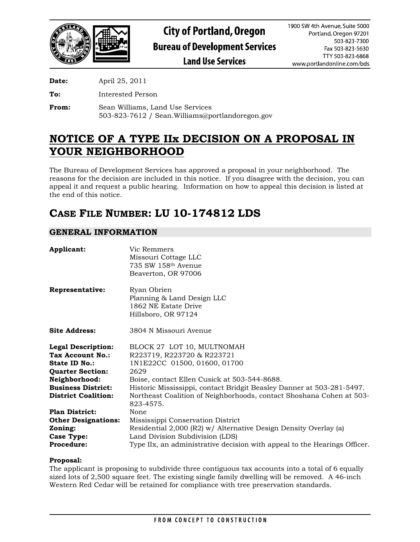

**Date:** April 25, 2011

**To:** Interested Person

**From:** Sean Williams, Land Use Services 503-823-7612 / Sean.Williams@portlandoregon.gov

# **NOTICE OF A TYPE IIx DECISION ON A PROPOSAL IN YOUR NEIGHBORHOOD**

The Bureau of Development Services has approved a proposal in your neighborhood. The reasons for the decision are included in this notice. If you disagree with the decision, you can appeal it and request a public hearing. Information on how to appeal this decision is listed at the end of this notice.

# **CASE FILE NUMBER: LU 10-174812 LDS**

# **GENERAL INFORMATION**

| Applicant:                 | Vic Remmers<br>Missouri Cottage LLC<br>735 SW 158th Avenue<br>Beaverton, OR 97006        |
|----------------------------|------------------------------------------------------------------------------------------|
| Representative:            | Ryan Obrien<br>Planning & Land Design LLC<br>1862 NE Estate Drive<br>Hillsboro, OR 97124 |
| <b>Site Address:</b>       | 3804 N Missouri Avenue                                                                   |
| <b>Legal Description:</b>  | BLOCK 27 LOT 10, MULTNOMAH                                                               |
| <b>Tax Account No.:</b>    | R223719, R223720 & R223721                                                               |
| State ID No.:              | 1N1E22CC 01500, 01600, 01700                                                             |
| <b>Quarter Section:</b>    | 2629                                                                                     |
| Neighborhood:              | Boise, contact Ellen Cusick at 503-544-8688.                                             |
| <b>Business District:</b>  | Historic Mississippi, contact Bridgit Beasley Danner at 503-281-5497.                    |
| <b>District Coalition:</b> | Northeast Coalition of Neighborhoods, contact Shoshana Cohen at 503-<br>823-4575.        |
| <b>Plan District:</b>      | None                                                                                     |
| <b>Other Designations:</b> | Mississippi Conservation District                                                        |
| Zoning:                    | Residential 2,000 (R2) w/ Alternative Design Density Overlay (a)                         |
| <b>Case Type:</b>          | Land Division Subdivision (LDS)                                                          |
| <b>Procedure:</b>          | Type IIx, an administrative decision with appeal to the Hearings Officer.                |

# **Proposal:**

The applicant is proposing to subdivide three contiguous tax accounts into a total of 6 equally sized lots of 2,500 square feet. The existing single family dwelling will be removed. A 46-inch Western Red Cedar will be retained for compliance with tree preservation standards.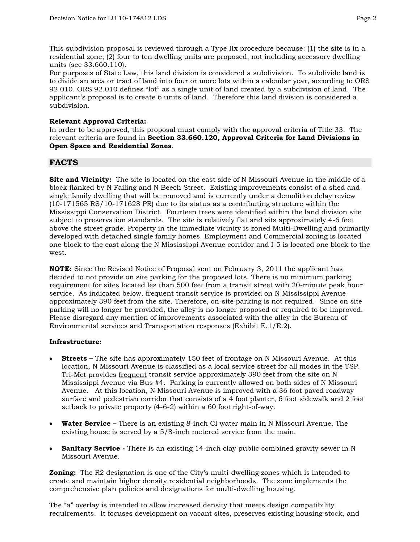This subdivision proposal is reviewed through a Type IIx procedure because: (1) the site is in a residential zone; (2) four to ten dwelling units are proposed, not including accessory dwelling units (see 33.660.110).

For purposes of State Law, this land division is considered a subdivision. To subdivide land is to divide an area or tract of land into four or more lots within a calendar year, according to ORS 92.010. ORS 92.010 defines "lot" as a single unit of land created by a subdivision of land. The applicant's proposal is to create 6 units of land. Therefore this land division is considered a subdivision.

# **Relevant Approval Criteria:**

In order to be approved, this proposal must comply with the approval criteria of Title 33. The relevant criteria are found in **Section 33.660.120, Approval Criteria for Land Divisions in Open Space and Residential Zones**.

# **FACTS**

**Site and Vicinity:** The site is located on the east side of N Missouri Avenue in the middle of a block flanked by N Failing and N Beech Street. Existing improvements consist of a shed and single family dwelling that will be removed and is currently under a demolition delay review (10-171565 RS/10-171628 PR) due to its status as a contributing structure within the Mississippi Conservation District. Fourteen trees were identified within the land division site subject to preservation standards. The site is relatively flat and sits approximately 4-6 feet above the street grade. Property in the immediate vicinity is zoned Multi-Dwelling and primarily developed with detached single family homes. Employment and Commercial zoning is located one block to the east along the N Mississippi Avenue corridor and I-5 is located one block to the west.

**NOTE:** Since the Revised Notice of Proposal sent on February 3, 2011 the applicant has decided to not provide on site parking for the proposed lots. There is no minimum parking requirement for sites located les than 500 feet from a transit street with 20-minute peak hour service. As indicated below, frequent transit service is provided on N Mississippi Avenue approximately 390 feet from the site. Therefore, on-site parking is not required. Since on site parking will no longer be provided, the alley is no longer proposed or required to be improved. Please disregard any mention of improvements associated with the alley in the Bureau of Environmental services and Transportation responses (Exhibit E.1/E.2).

# **Infrastructure:**

- **Streets** The site has approximately 150 feet of frontage on N Missouri Avenue. At this location, N Missouri Avenue is classified as a local service street for all modes in the TSP. Tri-Met provides frequent transit service approximately 390 feet from the site on N Mississippi Avenue via Bus #4. Parking is currently allowed on both sides of N Missouri Avenue. At this location, N Missouri Avenue is improved with a 36 foot paved roadway surface and pedestrian corridor that consists of a 4 foot planter, 6 foot sidewalk and 2 foot setback to private property (4-6-2) within a 60 foot right-of-way.
- **Water Service –** There is an existing 8-inch CI water main in N Missouri Avenue. The existing house is served by a 5/8-inch metered service from the main.
- **Sanitary Service** There is an existing 14-inch clay public combined gravity sewer in N Missouri Avenue.

**Zoning:** The R2 designation is one of the City's multi-dwelling zones which is intended to create and maintain higher density residential neighborhoods. The zone implements the comprehensive plan policies and designations for multi-dwelling housing.

The "a" overlay is intended to allow increased density that meets design compatibility requirements. It focuses development on vacant sites, preserves existing housing stock, and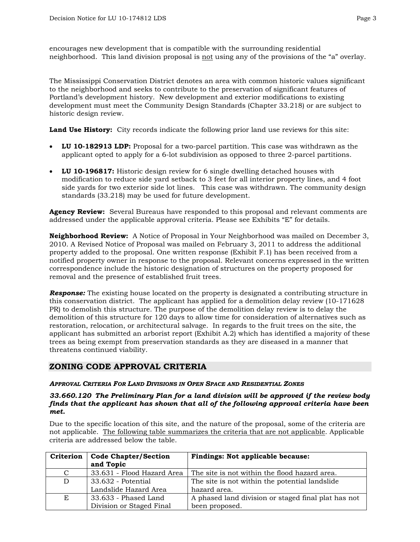encourages new development that is compatible with the surrounding residential neighborhood. This land division proposal is not using any of the provisions of the "a" overlay.

The Mississippi Conservation District denotes an area with common historic values significant to the neighborhood and seeks to contribute to the preservation of significant features of Portland's development history. New development and exterior modifications to existing development must meet the Community Design Standards (Chapter 33.218) or are subject to historic design review.

**Land Use History:** City records indicate the following prior land use reviews for this site:

- **LU 10-182913 LDP:** Proposal for a two-parcel partition. This case was withdrawn as the applicant opted to apply for a 6-lot subdivision as opposed to three 2-parcel partitions.
- **LU 10-196817:** Historic design review for 6 single dwelling detached houses with modification to reduce side yard setback to 3 feet for all interior property lines, and 4 foot side yards for two exterior side lot lines. This case was withdrawn. The community design standards (33.218) may be used for future development.

**Agency Review:** Several Bureaus have responded to this proposal and relevant comments are addressed under the applicable approval criteria. Please see Exhibits "E" for details.

**Neighborhood Review:** A Notice of Proposal in Your Neighborhood was mailed on December 3, 2010. A Revised Notice of Proposal was mailed on February 3, 2011 to address the additional property added to the proposal. One written response (Exhibit F.1) has been received from a notified property owner in response to the proposal. Relevant concerns expressed in the written correspondence include the historic designation of structures on the property proposed for removal and the presence of established fruit trees.

**Response:** The existing house located on the property is designated a contributing structure in this conservation district. The applicant has applied for a demolition delay review (10-171628 PR) to demolish this structure. The purpose of the demolition delay review is to delay the demolition of this structure for 120 days to allow time for consideration of alternatives such as restoration, relocation, or architectural salvage. In regards to the fruit trees on the site, the applicant has submitted an arborist report (Exhibit A.2) which has identified a majority of these trees as being exempt from preservation standards as they are diseased in a manner that threatens continued viability.

# **ZONING CODE APPROVAL CRITERIA**

# *APPROVAL CRITERIA FOR LAND DIVISIONS IN OPEN SPACE AND RESIDENTIAL ZONES*

#### *33.660.120 The Preliminary Plan for a land division will be approved if the review body finds that the applicant has shown that all of the following approval criteria have been met.*

Due to the specific location of this site, and the nature of the proposal, some of the criteria are not applicable. The following table summarizes the criteria that are not applicable. Applicable criteria are addressed below the table.

| Criterion | <b>Code Chapter/Section</b><br>and Topic | <b>Findings: Not applicable because:</b>            |
|-----------|------------------------------------------|-----------------------------------------------------|
| C         | 33.631 - Flood Hazard Area               | The site is not within the flood hazard area.       |
| D         | 33.632 - Potential                       | The site is not within the potential landslide      |
|           | Landslide Hazard Area                    | hazard area.                                        |
| E         | 33.633 - Phased Land                     | A phased land division or staged final plat has not |
|           | Division or Staged Final                 | been proposed.                                      |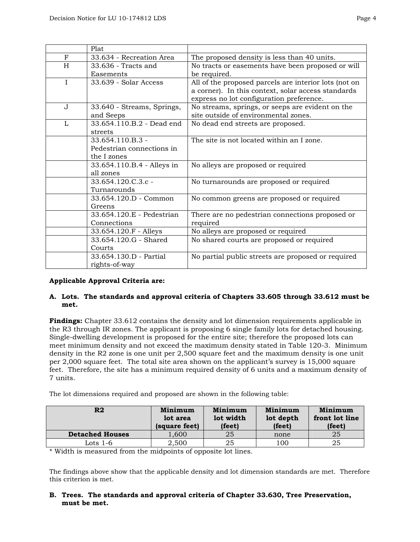|              | Plat                       |                                                       |
|--------------|----------------------------|-------------------------------------------------------|
| F            | 33.634 - Recreation Area   | The proposed density is less than 40 units.           |
| H            | 33.636 - Tracts and        | No tracts or easements have been proposed or will     |
|              | Easements                  | be required.                                          |
| $\mathbf{I}$ | 33.639 - Solar Access      | All of the proposed parcels are interior lots (not on |
|              |                            | a corner). In this context, solar access standards    |
|              |                            | express no lot configuration preference.              |
| $\mathbf{J}$ | 33.640 - Streams, Springs, | No streams, springs, or seeps are evident on the      |
|              | and Seeps                  | site outside of environmental zones.                  |
| L            | 33.654.110.B.2 - Dead end  | No dead end streets are proposed.                     |
|              | streets                    |                                                       |
|              | 33.654.110.B.3 -           | The site is not located within an I zone.             |
|              | Pedestrian connections in  |                                                       |
|              | the I zones                |                                                       |
|              | 33.654.110.B.4 - Alleys in | No alleys are proposed or required                    |
|              | all zones                  |                                                       |
|              | 33.654.120.C.3.c -         | No turnarounds are proposed or required               |
|              | Turnarounds                |                                                       |
|              | 33.654.120.D - Common      | No common greens are proposed or required             |
|              | Greens                     |                                                       |
|              | 33.654.120.E - Pedestrian  | There are no pedestrian connections proposed or       |
|              | Connections                | required                                              |
|              | 33.654.120.F - Alleys      | No alleys are proposed or required                    |
|              | 33.654.120.G - Shared      | No shared courts are proposed or required             |
|              | Courts                     |                                                       |
|              | 33.654.130.D - Partial     | No partial public streets are proposed or required    |
|              | rights-of-way              |                                                       |

# **Applicable Approval Criteria are:**

# **A. Lots. The standards and approval criteria of Chapters 33.605 through 33.612 must be met.**

**Findings:** Chapter 33.612 contains the density and lot dimension requirements applicable in the R3 through IR zones. The applicant is proposing 6 single family lots for detached housing. Single-dwelling development is proposed for the entire site; therefore the proposed lots can meet minimum density and not exceed the maximum density stated in Table 120-3. Minimum density in the R2 zone is one unit per 2,500 square feet and the maximum density is one unit per 2,000 square feet. The total site area shown on the applicant's survey is 15,000 square feet. Therefore, the site has a minimum required density of 6 units and a maximum density of 7 units.

The lot dimensions required and proposed are shown in the following table:

| R <sub>2</sub>         | Minimum<br>lot area<br>(square feet) | Minimum<br>lot width<br>(feet) | Minimum<br>lot depth<br>(feet) | Minimum<br>front lot line<br>(feet) |
|------------------------|--------------------------------------|--------------------------------|--------------------------------|-------------------------------------|
| <b>Detached Houses</b> | 1,600                                | 25                             | none                           | 25                                  |
| Lots 1-6               | 2,500                                | 25                             | 100                            | 25                                  |

\* Width is measured from the midpoints of opposite lot lines.

The findings above show that the applicable density and lot dimension standards are met. Therefore this criterion is met.

# **B. Trees. The standards and approval criteria of Chapter 33.630, Tree Preservation, must be met.**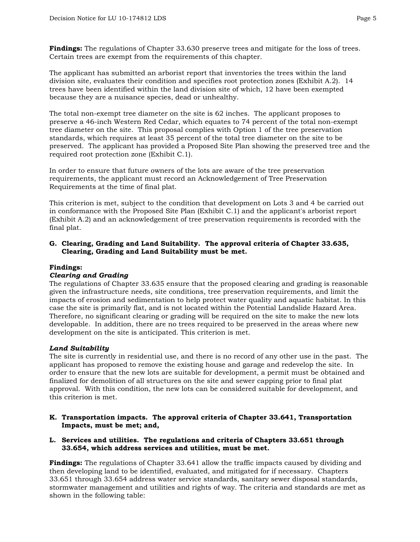**Findings:** The regulations of Chapter 33.630 preserve trees and mitigate for the loss of trees. Certain trees are exempt from the requirements of this chapter.

The applicant has submitted an arborist report that inventories the trees within the land division site, evaluates their condition and specifies root protection zones (Exhibit A.2). 14 trees have been identified within the land division site of which, 12 have been exempted because they are a nuisance species, dead or unhealthy.

The total non-exempt tree diameter on the site is 62 inches. The applicant proposes to preserve a 46-inch Western Red Cedar, which equates to 74 percent of the total non-exempt tree diameter on the site. This proposal complies with Option 1 of the tree preservation standards, which requires at least 35 percent of the total tree diameter on the site to be preserved. The applicant has provided a Proposed Site Plan showing the preserved tree and the required root protection zone (Exhibit C.1).

In order to ensure that future owners of the lots are aware of the tree preservation requirements, the applicant must record an Acknowledgement of Tree Preservation Requirements at the time of final plat.

This criterion is met, subject to the condition that development on Lots 3 and 4 be carried out in conformance with the Proposed Site Plan (Exhibit C.1) and the applicant's arborist report (Exhibit A.2) and an acknowledgement of tree preservation requirements is recorded with the final plat.

# **G. Clearing, Grading and Land Suitability. The approval criteria of Chapter 33.635, Clearing, Grading and Land Suitability must be met.**

# **Findings:**

# *Clearing and Grading*

The regulations of Chapter 33.635 ensure that the proposed clearing and grading is reasonable given the infrastructure needs, site conditions, tree preservation requirements, and limit the impacts of erosion and sedimentation to help protect water quality and aquatic habitat. In this case the site is primarily flat, and is not located within the Potential Landslide Hazard Area. Therefore, no significant clearing or grading will be required on the site to make the new lots developable. In addition, there are no trees required to be preserved in the areas where new development on the site is anticipated. This criterion is met.

# *Land Suitability*

The site is currently in residential use, and there is no record of any other use in the past. The applicant has proposed to remove the existing house and garage and redevelop the site. In order to ensure that the new lots are suitable for development, a permit must be obtained and finalized for demolition of all structures on the site and sewer capping prior to final plat approval. With this condition, the new lots can be considered suitable for development, and this criterion is met.

- **K. Transportation impacts. The approval criteria of Chapter 33.641, Transportation Impacts, must be met; and,**
- **L. Services and utilities. The regulations and criteria of Chapters 33.651 through 33.654, which address services and utilities, must be met.**

**Findings:** The regulations of Chapter 33.641 allow the traffic impacts caused by dividing and then developing land to be identified, evaluated, and mitigated for if necessary. Chapters 33.651 through 33.654 address water service standards, sanitary sewer disposal standards, stormwater management and utilities and rights of way. The criteria and standards are met as shown in the following table: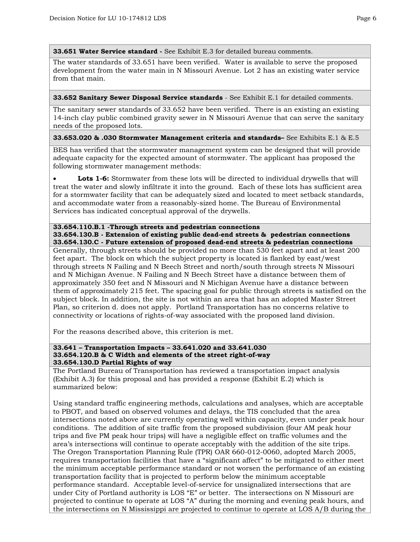**33.651 Water Service standard -** See Exhibit E.3 for detailed bureau comments.

The water standards of 33.651 have been verified. Water is available to serve the proposed development from the water main in N Missouri Avenue. Lot 2 has an existing water service from that main.

#### **33.652 Sanitary Sewer Disposal Service standards** - See Exhibit E.1 for detailed comments.

The sanitary sewer standards of 33.652 have been verified. There is an existing an existing 14-inch clay public combined gravity sewer in N Missouri Avenue that can serve the sanitary needs of the proposed lots.

# **33.653.020 & .030 Stormwater Management criteria and standards–** See Exhibits E.1 & E.5

BES has verified that the stormwater management system can be designed that will provide adequate capacity for the expected amount of stormwater. The applicant has proposed the following stormwater management methods:

**Lots 1-6:** Stormwater from these lots will be directed to individual drywells that will treat the water and slowly infiltrate it into the ground. Each of these lots has sufficient area for a stormwater facility that can be adequately sized and located to meet setback standards, and accommodate water from a reasonably-sized home. The Bureau of Environmental Services has indicated conceptual approval of the drywells.

#### **33.654.110.B.1 -Through streets and pedestrian connections 33.654.130.B - Extension of existing public dead-end streets & pedestrian connections 33.654.130.C - Future extension of proposed dead-end streets & pedestrian connections**

Generally, through streets should be provided no more than 530 feet apart and at least 200 feet apart. The block on which the subject property is located is flanked by east/west through streets N Failing and N Beech Street and north/south through streets N Missouri and N Michigan Avenue. N Failing and N Beech Street have a distance between them of approximately 350 feet and N Missouri and N Michigan Avenue have a distance between them of approximately 215 feet. The spacing goal for public through streets is satisfied on the subject block. In addition, the site is not within an area that has an adopted Master Street Plan, so criterion d. does not apply. Portland Transportation has no concerns relative to connectivity or locations of rights-of-way associated with the proposed land division.

For the reasons described above, this criterion is met.

#### **33.641 – Transportation Impacts – 33.641.020 and 33.641.030 33.654.120.B & C Width and elements of the street right-of-way 33.654.130.D Partial Rights of way**

The Portland Bureau of Transportation has reviewed a transportation impact analysis (Exhibit A.3) for this proposal and has provided a response (Exhibit E.2) which is summarized below:

Using standard traffic engineering methods, calculations and analyses, which are acceptable to PBOT, and based on observed volumes and delays, the TIS concluded that the area intersections noted above are currently operating well within capacity, even under peak hour conditions. The addition of site traffic from the proposed subdivision (four AM peak hour trips and five PM peak hour trips) will have a negligible effect on traffic volumes and the area's intersections will continue to operate acceptably with the addition of the site trips. The Oregon Transportation Planning Rule (TPR) OAR 660-012-0060, adopted March 2005, requires transportation facilities that have a "significant affect" to be mitigated to either meet the minimum acceptable performance standard or not worsen the performance of an existing transportation facility that is projected to perform below the minimum acceptable performance standard.Acceptable level-of-service for unsignalized intersections that are under City of Portland authority is LOS "E" or better. The intersections on N Missouri are projected to continue to operate at LOS "A" during the morning and evening peak hours, and the intersections on N Mississippi are projected to continue to operate at LOS A/B during the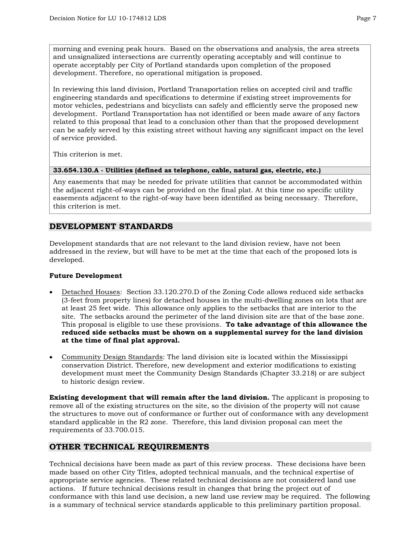morning and evening peak hours. Based on the observations and analysis, the area streets and unsignalized intersections are currently operating acceptably and will continue to operate acceptably per City of Portland standards upon completion of the proposed development. Therefore, no operational mitigation is proposed.

In reviewing this land division, Portland Transportation relies on accepted civil and traffic engineering standards and specifications to determine if existing street improvements for motor vehicles, pedestrians and bicyclists can safely and efficiently serve the proposed new development. Portland Transportation has not identified or been made aware of any factors related to this proposal that lead to a conclusion other than that the proposed development can be safely served by this existing street without having any significant impact on the level of service provided.

This criterion is met.

# **33.654.130.A - Utilities (defined as telephone, cable, natural gas, electric, etc.)**

Any easements that may be needed for private utilities that cannot be accommodated within the adjacent right-of-ways can be provided on the final plat. At this time no specific utility easements adjacent to the right-of-way have been identified as being necessary. Therefore, this criterion is met.

# **DEVELOPMENT STANDARDS**

Development standards that are not relevant to the land division review, have not been addressed in the review, but will have to be met at the time that each of the proposed lots is developed.

# **Future Development**

- Detached Houses: Section 33.120.270.D of the Zoning Code allows reduced side setbacks (3-feet from property lines) for detached houses in the multi-dwelling zones on lots that are at least 25 feet wide. This allowance only applies to the setbacks that are interior to the site. The setbacks around the perimeter of the land division site are that of the base zone. This proposal is eligible to use these provisions. **To take advantage of this allowance the reduced side setbacks must be shown on a supplemental survey for the land division at the time of final plat approval.**
- Community Design Standards: The land division site is located within the Mississippi conservation District. Therefore, new development and exterior modifications to existing development must meet the Community Design Standards (Chapter 33.218) or are subject to historic design review.

**Existing development that will remain after the land division.** The applicant is proposing to remove all of the existing structures on the site, so the division of the property will not cause the structures to move out of conformance or further out of conformance with any development standard applicable in the R2 zone. Therefore, this land division proposal can meet the requirements of 33.700.015.

# **OTHER TECHNICAL REQUIREMENTS**

Technical decisions have been made as part of this review process. These decisions have been made based on other City Titles, adopted technical manuals, and the technical expertise of appropriate service agencies. These related technical decisions are not considered land use actions. If future technical decisions result in changes that bring the project out of conformance with this land use decision, a new land use review may be required. The following is a summary of technical service standards applicable to this preliminary partition proposal.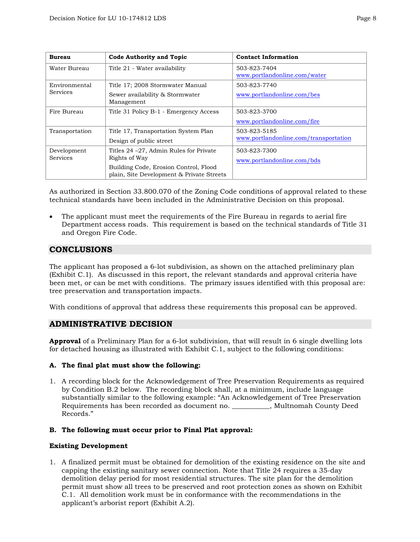| <b>Bureau</b>                    | <b>Code Authority and Topic</b>                                                                                                                | <b>Contact Information</b>                            |
|----------------------------------|------------------------------------------------------------------------------------------------------------------------------------------------|-------------------------------------------------------|
| Water Bureau                     | Title 21 - Water availability                                                                                                                  | 503-823-7404<br>www.portlandonline.com/water          |
| Environmental<br><b>Services</b> | Title 17; 2008 Stormwater Manual<br>Sewer availability & Stormwater<br>Management                                                              | 503-823-7740<br>www.portlandonline.com/bes            |
| Fire Bureau                      | Title 31 Policy B-1 - Emergency Access                                                                                                         | 503-823-3700<br>www.portlandonline.com/fire           |
| Transportation                   | Title 17, Transportation System Plan<br>Design of public street                                                                                | 503-823-5185<br>www.portlandonline.com/transportation |
| Development<br><b>Services</b>   | Titles 24 – 27, Admin Rules for Private<br>Rights of Way<br>Building Code, Erosion Control, Flood<br>plain, Site Development & Private Streets | 503-823-7300<br>www.portlandonline.com/bds            |

As authorized in Section 33.800.070 of the Zoning Code conditions of approval related to these technical standards have been included in the Administrative Decision on this proposal.

The applicant must meet the requirements of the Fire Bureau in regards to aerial fire Department access roads. This requirement is based on the technical standards of Title 31 and Oregon Fire Code.

# **CONCLUSIONS**

The applicant has proposed a 6-lot subdivision, as shown on the attached preliminary plan (Exhibit C.1). As discussed in this report, the relevant standards and approval criteria have been met, or can be met with conditions. The primary issues identified with this proposal are: tree preservation and transportation impacts.

With conditions of approval that address these requirements this proposal can be approved.

# **ADMINISTRATIVE DECISION**

**Approval** of a Preliminary Plan for a 6-lot subdivision, that will result in 6 single dwelling lots for detached housing as illustrated with Exhibit C.1, subject to the following conditions:

# **A. The final plat must show the following:**

1. A recording block for the Acknowledgement of Tree Preservation Requirements as required by Condition B.2 below. The recording block shall, at a minimum, include language substantially similar to the following example: "An Acknowledgement of Tree Preservation Requirements has been recorded as document no. \_\_\_\_\_\_\_\_\_\_\_, Multnomah County Deed Records."

# **B. The following must occur prior to Final Plat approval:**

# **Existing Development**

1. A finalized permit must be obtained for demolition of the existing residence on the site and capping the existing sanitary sewer connection. Note that Title 24 requires a 35-day demolition delay period for most residential structures. The site plan for the demolition permit must show all trees to be preserved and root protection zones as shown on Exhibit C.1. All demolition work must be in conformance with the recommendations in the applicant's arborist report (Exhibit A.2).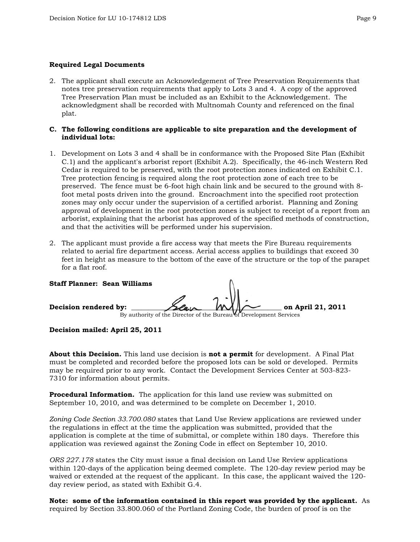# **Required Legal Documents**

2. The applicant shall execute an Acknowledgement of Tree Preservation Requirements that notes tree preservation requirements that apply to Lots 3 and 4. A copy of the approved Tree Preservation Plan must be included as an Exhibit to the Acknowledgement. The acknowledgment shall be recorded with Multnomah County and referenced on the final plat.

# **C. The following conditions are applicable to site preparation and the development of individual lots:**

- 1. Development on Lots 3 and 4 shall be in conformance with the Proposed Site Plan (Exhibit C.1) and the applicant's arborist report (Exhibit A.2). Specifically, the 46-inch Western Red Cedar is required to be preserved, with the root protection zones indicated on Exhibit C.1. Tree protection fencing is required along the root protection zone of each tree to be preserved. The fence must be 6-foot high chain link and be secured to the ground with 8 foot metal posts driven into the ground. Encroachment into the specified root protection zones may only occur under the supervision of a certified arborist. Planning and Zoning approval of development in the root protection zones is subject to receipt of a report from an arborist, explaining that the arborist has approved of the specified methods of construction, and that the activities will be performed under his supervision.
- 2. The applicant must provide a fire access way that meets the Fire Bureau requirements related to aerial fire department access. Aerial access applies to buildings that exceed 30 feet in height as measure to the bottom of the eave of the structure or the top of the parapet for a flat roof.

**Staff Planner: Sean Williams**  Decision rendered by:  $\frac{\partial \mathcal{L}}{\partial x}$   $\mathcal{M}$   $\mathcal{M}$  on April 21, 2011 By authority of the Director of the Bureau of Development Services

# **Decision mailed: April 25, 2011**

**About this Decision.** This land use decision is **not a permit** for development. A Final Plat must be completed and recorded before the proposed lots can be sold or developed. Permits may be required prior to any work. Contact the Development Services Center at 503-823- 7310 for information about permits.

**Procedural Information.** The application for this land use review was submitted on September 10, 2010, and was determined to be complete on December 1, 2010.

*Zoning Code Section 33.700.080* states that Land Use Review applications are reviewed under the regulations in effect at the time the application was submitted, provided that the application is complete at the time of submittal, or complete within 180 days. Therefore this application was reviewed against the Zoning Code in effect on September 10, 2010.

*ORS 227.178* states the City must issue a final decision on Land Use Review applications within 120-days of the application being deemed complete. The 120-day review period may be waived or extended at the request of the applicant. In this case, the applicant waived the 120 day review period, as stated with Exhibit G.4.

**Note: some of the information contained in this report was provided by the applicant.** As required by Section 33.800.060 of the Portland Zoning Code, the burden of proof is on the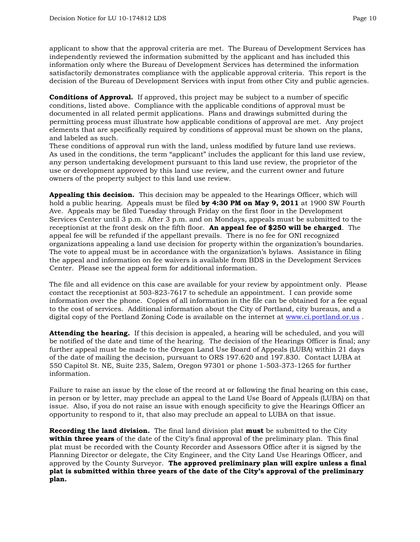applicant to show that the approval criteria are met. The Bureau of Development Services has independently reviewed the information submitted by the applicant and has included this information only where the Bureau of Development Services has determined the information satisfactorily demonstrates compliance with the applicable approval criteria. This report is the decision of the Bureau of Development Services with input from other City and public agencies.

**Conditions of Approval.** If approved, this project may be subject to a number of specific conditions, listed above. Compliance with the applicable conditions of approval must be documented in all related permit applications. Plans and drawings submitted during the permitting process must illustrate how applicable conditions of approval are met. Any project elements that are specifically required by conditions of approval must be shown on the plans, and labeled as such.

These conditions of approval run with the land, unless modified by future land use reviews. As used in the conditions, the term "applicant" includes the applicant for this land use review, any person undertaking development pursuant to this land use review, the proprietor of the use or development approved by this land use review, and the current owner and future owners of the property subject to this land use review.

**Appealing this decision.** This decision may be appealed to the Hearings Officer, which will hold a public hearing. Appeals must be filed **by 4:30 PM on May 9, 2011** at 1900 SW Fourth Ave. Appeals may be filed Tuesday through Friday on the first floor in the Development Services Center until 3 p.m. After 3 p.m. and on Mondays, appeals must be submitted to the receptionist at the front desk on the fifth floor. **An appeal fee of \$250 will be charged**. The appeal fee will be refunded if the appellant prevails. There is no fee for ONI recognized organizations appealing a land use decision for property within the organization's boundaries. The vote to appeal must be in accordance with the organization's bylaws. Assistance in filing the appeal and information on fee waivers is available from BDS in the Development Services Center. Please see the appeal form for additional information.

The file and all evidence on this case are available for your review by appointment only. Please contact the receptionist at 503-823-7617 to schedule an appointment. I can provide some information over the phone. Copies of all information in the file can be obtained for a fee equal to the cost of services. Additional information about the City of Portland, city bureaus, and a digital copy of the Portland Zoning Code is available on the internet at [www.ci.portland.or.us](http://www.ci.portland.or.us/) .

**Attending the hearing.** If this decision is appealed, a hearing will be scheduled, and you will be notified of the date and time of the hearing. The decision of the Hearings Officer is final; any further appeal must be made to the Oregon Land Use Board of Appeals (LUBA) within 21 days of the date of mailing the decision, pursuant to ORS 197.620 and 197.830. Contact LUBA at 550 Capitol St. NE, Suite 235, Salem, Oregon 97301 or phone 1-503-373-1265 for further information.

Failure to raise an issue by the close of the record at or following the final hearing on this case, in person or by letter, may preclude an appeal to the Land Use Board of Appeals (LUBA) on that issue. Also, if you do not raise an issue with enough specificity to give the Hearings Officer an opportunity to respond to it, that also may preclude an appeal to LUBA on that issue.

**Recording the land division.** The final land division plat **must** be submitted to the City **within three years** of the date of the City's final approval of the preliminary plan. This final plat must be recorded with the County Recorder and Assessors Office after it is signed by the Planning Director or delegate, the City Engineer, and the City Land Use Hearings Officer, and approved by the County Surveyor. **The approved preliminary plan will expire unless a final plat is submitted within three years of the date of the City's approval of the preliminary plan.**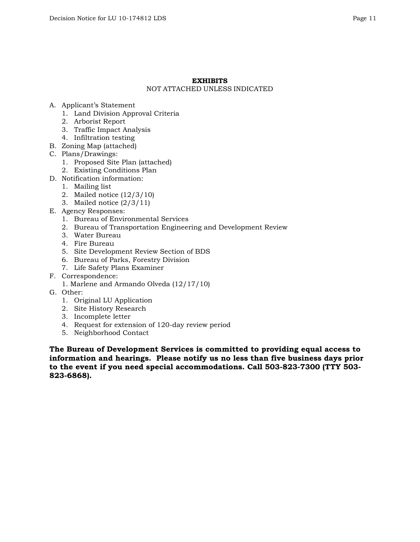# **EXHIBITS**

# NOT ATTACHED UNLESS INDICATED

- A. Applicant's Statement
	- 1. Land Division Approval Criteria
	- 2. Arborist Report
	- 3. Traffic Impact Analysis
	- 4. Infiltration testing
- B. Zoning Map (attached)
- C. Plans/Drawings:
	- 1. Proposed Site Plan (attached)
	- 2. Existing Conditions Plan
- D. Notification information:
	- 1. Mailing list
	- 2. Mailed notice (12/3/10)
	- 3. Mailed notice (2/3/11)
- E. Agency Responses:
	- 1. Bureau of Environmental Services
	- 2. Bureau of Transportation Engineering and Development Review
	- 3. Water Bureau
	- 4. Fire Bureau
	- 5. Site Development Review Section of BDS
	- 6. Bureau of Parks, Forestry Division
	- 7. Life Safety Plans Examiner
- F. Correspondence:
	- 1. Marlene and Armando Olveda (12/17/10)
- G. Other:
	- 1. Original LU Application
	- 2. Site History Research
	- 3. Incomplete letter
	- 4. Request for extension of 120-day review period
	- 5. Neighborhood Contact

**The Bureau of Development Services is committed to providing equal access to information and hearings. Please notify us no less than five business days prior to the event if you need special accommodations. Call 503-823-7300 (TTY 503- 823-6868).**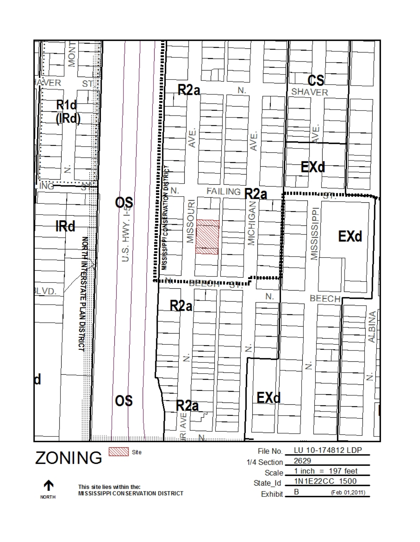